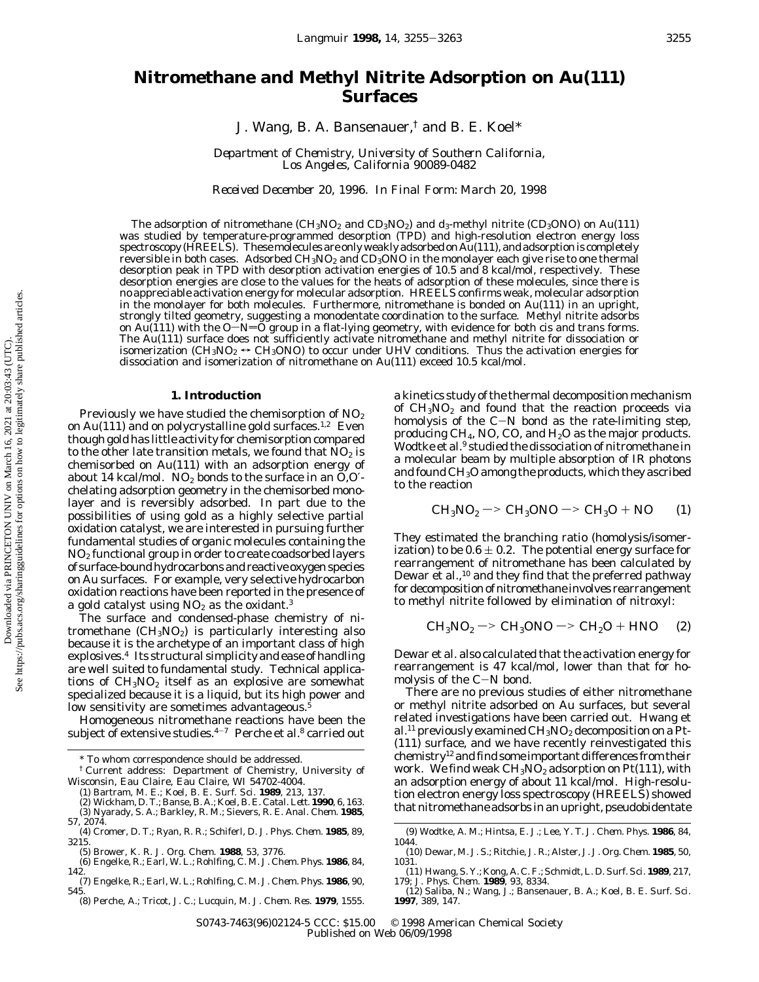# **Nitromethane and Methyl Nitrite Adsorption on Au(111) Surfaces**

J. Wang, B. A. Bansenauer,† and B. E. Koel\*

*Department of Chemistry, University of Southern California, Los Angeles, California 90089-0482*

*Received December 20, 1996. In Final Form: March 20, 1998*

The adsorption of nitromethane (CH<sub>3</sub>NO<sub>2</sub> and CD<sub>3</sub>NO<sub>2</sub>) and  $d_3$ -methyl nitrite (CD<sub>3</sub>ONO) on Au(111) was studied by temperature-programmed desorption (TPD) and high-resolution electron energy loss spectroscopy (HREELS). Thesemolecules are only weakly adsorbed on Au(111), and adsorption is completely reversible in both cases. Adsorbed CH<sub>3</sub>NO<sub>2</sub> and CD<sub>3</sub>ONO in the monolayer each give rise to one thermal desorption peak in TPD with desorption activation energies of 10.5 and 8 kcal/mol, respectively. These desorption energies are close to the values for the heats of adsorption of these molecules, since there is no appreciable activation energy for molecular adsorption. HREELS confirms weak, molecular adsorption in the monolayer for both molecules. Furthermore, nitromethane is bonded on Au(111) in an upright, strongly tilted geometry, suggesting a monodentate coordination to the surface. Methyl nitrite adsorbs on Au(111) with the O-N=O group in a flat-lying geometry, with evidence for both cis and trans forms. The Au(111) surface does not sufficiently activate nitromethane and methyl nitrite for dissociation or isomerization (CH<sub>3</sub>NO<sub>2</sub>  $\leftrightarrow$  CH<sub>3</sub>ONO) to occur under UHV conditions. Thus the activation energies for dissociation and isomerization of nitromethane on Au(111) exceed 10.5 kcal/mol.

# **1. Introduction**

Previously we have studied the chemisorption of  $NO<sub>2</sub>$ on Au(111) and on polycrystalline gold surfaces.<sup>1,2</sup> Even though gold has little activity for chemisorption compared to the other late transition metals, we found that  $NO<sub>2</sub>$  is chemisorbed on Au(111) with an adsorption energy of about 14 kcal/mol.  $NO<sub>2</sub>$  bonds to the surface in an  $O,O'$ chelating adsorption geometry in the chemisorbed monolayer and is reversibly adsorbed. In part due to the possibilities of using gold as a highly selective partial oxidation catalyst, we are interested in pursuing further fundamental studies of organic molecules containing the  $NO<sub>2</sub>$  functional group in order to create coadsorbed layers of surface-bound hydrocarbons and reactive oxygen species on Au surfaces. For example, very selective hydrocarbon oxidation reactions have been reported in the presence of a gold catalyst using  $NO<sub>2</sub>$  as the oxidant.<sup>3</sup>

The surface and condensed-phase chemistry of nitromethane  $(CH_3NO_2)$  is particularly interesting also because it is the archetype of an important class of high explosives.4 Its structural simplicity and ease of handling are well suited to fundamental study. Technical applications of  $CH<sub>3</sub>NO<sub>2</sub>$  itself as an explosive are somewhat specialized because it is a liquid, but its high power and low sensitivity are sometimes advantageous.<sup>5</sup>

Homogeneous nitromethane reactions have been the subject of extensive studies. $4-7$  Perche et al.<sup>8</sup> carried out

- 
- (3) Nyarady, S. A.; Barkley, R. M.; Sievers, R. E. *Anal. Chem.* **1985**, *57*, 2074.
- (4) Cromer, D. T.; Ryan, R. R.; Schiferl, D. *J. Phys. Chem.* **1985**, *89*, 3215.
- 
- (5) Brower, K. R. *J. Org. Chem.* **1988**, *53*, 3776. (6) Engelke, R.; Earl, W. L.; Rohlfing, C. M. *J. Chem. Phys.* **1986**, *84*, 142.
- (7) Engelke, R.; Earl, W. L.; Rohlfing, C. M. *J. Chem. Phys.* **1986**, *90*, 545.
- (8) Perche, A.; Tricot, J. C.; Lucquin, M. *J. Chem. Res.* **1979**, 1555.

a kinetics study of the thermal decomposition mechanism of  $CH<sub>3</sub>NO<sub>2</sub>$  and found that the reaction proceeds via homolysis of the  $C-N$  bond as the rate-limiting step, producing  $CH_4$ , NO, CO, and  $H_2O$  as the major products. Wodtke et al.<sup>9</sup> studied the dissociation of nitromethane in a molecular beam by multiple absorption of IR photons and found CH3O among the products, which they ascribed to the reaction

$$
CH3NO2 -> CH3ONO -> CH3O + NO
$$
 (1)

They estimated the branching ratio (homolysis/isomerization) to be  $0.6 \pm 0.2$ . The potential energy surface for rearrangement of nitromethane has been calculated by Dewar et al.,<sup>10</sup> and they find that the preferred pathway for decomposition of nitromethane involves rearrangement to methyl nitrite followed by elimination of nitroxyl:

$$
CH3NO2 -> CH3ONO -> CH2O + HNO (2)
$$

Dewar et al. also calculated that the activation energy for rearrangement is 47 kcal/mol, lower than that for homolysis of the C-N bond.

There are no previous studies of either nitromethane or methyl nitrite adsorbed on Au surfaces, but several related investigations have been carried out. Hwang et al.<sup>11</sup> previously examined  $CH_3NO_2$  decomposition on a Pt-(111) surface, and we have recently reinvestigated this chemistry12 and find some important differences from their work. We find weak  $CH_3NO_2$  adsorption on Pt(111), with an adsorption energy of about 11 kcal/mol. High-resolution electron energy loss spectroscopy (HREELS) showed that nitromethane adsorbs in an upright, pseudobidentate

S0743-7463(96)02124-5 CCC: \$15.00 © 1998 American Chemical Society Published on Web 06/09/1998

<sup>\*</sup> To whom correspondence should be addressed.

<sup>†</sup> Current address: Department of Chemistry, University of Wisconsin, Eau Claire, Eau Claire, WI 54702-4004.

<sup>(1)</sup> Bartram, M. E.; Koel, B. E. *Surf. Sci.* **1989**, *213*, 137. (2) Wickham, D. T.; Banse, B. A.; Koel, B. E. *Catal. Lett.* **1990**, *6*, 163.

<sup>(9)</sup> Wodtke, A. M.; Hintsa, E. J.; Lee, Y. T. *J. Chem. Phys.* **1986**, *84*, 1044.

<sup>(10)</sup> Dewar, M. J. S.; Ritchie, J. R.; Alster, J. *J. Org. Chem.* **1985**, *50*, 1031.

<sup>(11)</sup> Hwang, S. Y.; Kong, A. C. F.; Schmidt, L. D. *Surf. Sci.* **1989**, *217*, 179; *J. Phys. Chem.* **1989**, *93*, 8334.

<sup>(12)</sup> Saliba, N.; Wang, J.; Bansenauer, B. A.; Koel, B. E. *Surf. Sci*. **1997**, *389*, 147.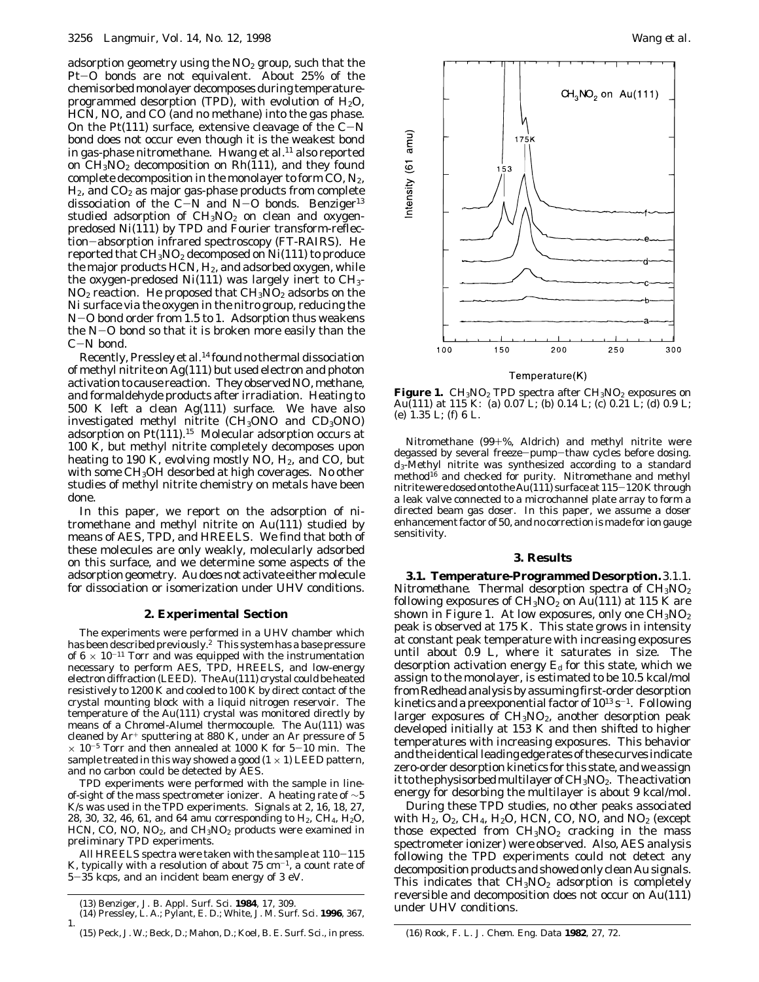adsorption geometry using the  $NO<sub>2</sub>$  group, such that the Pt-O bonds are not equivalent. About 25% of the chemisorbed monolayer decomposes during temperatureprogrammed desorption (TPD), with evolution of  $H_2O$ , HCN, NO, and CO (and no methane) into the gas phase. On the Pt(111) surface, extensive cleavage of the  $C-N$ bond does not occur even though it is the weakest bond in gas-phase nitromethane. Hwang et al. $11$  also reported on  $CH<sub>3</sub>NO<sub>2</sub>$  decomposition on  $Rh(111)$ , and they found complete decomposition in the monolayer to form  $CO$ ,  $N_2$ ,  $H<sub>2</sub>$ , and  $CO<sub>2</sub>$  as major gas-phase products from complete dissociation of the C $-N$  and N $-O$  bonds. Benziger<sup>13</sup> studied adsorption of  $CH<sub>3</sub>NO<sub>2</sub>$  on clean and oxygenpredosed Ni(111) by TPD and Fourier transform-reflection-absorption infrared spectroscopy (FT-RAIRS). He reported that  $CH<sub>3</sub>NO<sub>2</sub>$  decomposed on  $Ni(111)$  to produce the major products  $HCN$ ,  $H<sub>2</sub>$ , and adsorbed oxygen, while the oxygen-predosed  $Ni(111)$  was largely inert to  $CH<sub>3</sub>$ - $NO<sub>2</sub>$  reaction. He proposed that  $CH<sub>3</sub>NO<sub>2</sub>$  adsorbs on the Ni surface via the oxygen in the nitro group, reducing the <sup>N</sup>-O bond order from 1.5 to 1. Adsorption thus weakens the N-O bond so that it is broken more easily than the <sup>C</sup>-N bond.

Recently, Pressley et al.14 found no thermal dissociation of methyl nitrite on Ag(111) but used electron and photon activation to cause reaction. They observed NO, methane, and formaldehyde products after irradiation. Heating to 500 K left a clean Ag(111) surface. We have also investigated methyl nitrite  $(CH<sub>3</sub>ONO$  and  $CD<sub>3</sub>ONO$ adsorption on  $Pt(111).<sup>15</sup>$  Molecular adsorption occurs at 100 K, but methyl nitrite completely decomposes upon heating to 190 K, evolving mostly NO, H<sub>2</sub>, and CO, but with some  $CH<sub>3</sub>OH$  desorbed at high coverages. No other studies of methyl nitrite chemistry on metals have been done.

In this paper, we report on the adsorption of nitromethane and methyl nitrite on Au(111) studied by means of AES, TPD, and HREELS. We find that both of these molecules are only weakly, molecularly adsorbed on this surface, and we determine some aspects of the adsorption geometry. Au does not activate eithermolecule for dissociation or isomerization under UHV conditions.

## **2. Experimental Section**

The experiments were performed in a UHV chamber which has been described previously.2 This system has a base pressure of  $6 \times 10^{-11}$  Torr and was equipped with the instrumentation necessary to perform AES, TPD, HREELS, and low-energy electron diffraction (LEED). The Au(111) crystal could be heated resistively to 1200 K and cooled to 100 K by direct contact of the crystal mounting block with a liquid nitrogen reservoir. The temperature of the Au(111) crystal was monitored directly by means of a Chromel-Alumel thermocouple. The Au(111) was cleaned by Ar<sup>+</sup> sputtering at 880 K, under an Ar pressure of 5  $\times$  10<sup>-5</sup> Torr and then annealed at 1000 K for 5-10 min. The sample treated in this way showed a good  $(1 \times 1)$  LEED pattern, and no carbon could be detected by AES.

TPD experiments were performed with the sample in lineof-sight of the mass spectrometer ionizer. A heating rate of  $\sim$ 5 K/s was used in the TPD experiments. Signals at 2, 16, 18, 27, 28, 30, 32, 46, 61, and 64 amu corresponding to  $H_2$ , CH<sub>4</sub>, H<sub>2</sub>O, HCN, CO, NO, NO<sub>2</sub>, and CH<sub>3</sub>NO<sub>2</sub> products were examined in preliminary TPD experiments.

All HREELS spectra were taken with the sample at 110-<sup>115</sup> K, typically with a resolution of about  $75 \text{ cm}^{-1}$ , a count rate of <sup>5</sup>-35 kcps, and an incident beam energy of 3 eV.



**Figure 1.** CH<sub>3</sub>NO<sub>2</sub> TPD spectra after CH<sub>3</sub>NO<sub>2</sub> exposures on Au(111) at 115 K: (a) 0.07 L; (b) 0.14 L; (c) 0.21 L; (d) 0.9 L; (e) 1.35 L; (f) 6 L.

Nitromethane (99+%, Aldrich) and methyl nitrite were degassed by several freeze-pump-thaw cycles before dosing. *d*3-Methyl nitrite was synthesized according to a standard method<sup>16</sup> and checked for purity. Nitromethane and methyl nitrite were dosed onto the Au(111) surface at 115-120 K through a leak valve connected to a microchannel plate array to form a directed beam gas doser. In this paper, we assume a doser enhancement factor of 50, and no correction is made for ion gauge sensitivity.

#### **3. Results**

**3.1. Temperature-Programmed Desorption.***3.1.1. Nitromethane.* Thermal desorption spectra of  $CH<sub>3</sub>NO<sub>2</sub>$ following exposures of  $CH<sub>3</sub>NO<sub>2</sub>$  on Au(111) at 115 K are shown in Figure 1. At low exposures, only one  $CH<sub>3</sub>NO<sub>2</sub>$ peak is observed at 175 K. This state grows in intensity at constant peak temperature with increasing exposures until about 0.9 L, where it saturates in size. The desorption activation energy  $E_d$  for this state, which we assign to the monolayer, is estimated to be 10.5 kcal/mol from Redhead analysis by assuming first-order desorption kinetics and a preexponential factor of  $10^{13}$  s<sup>-1</sup>. Following larger exposures of  $CH_3NO_2$ , another desorption peak developed initially at 153 K and then shifted to higher temperatures with increasing exposures. This behavior and the identical leading edge rates of these curves indicate zero-order desorption kinetics for this state, and we assign it to the physisorbed multilayer of  $CH<sub>3</sub>NO<sub>2</sub>$ . The activation energy for desorbing the multilayer is about 9 kcal/mol.

During these TPD studies, no other peaks associated with  $H_2$ ,  $O_2$ ,  $CH_4$ ,  $H_2O$ , HCN, CO, NO, and NO<sub>2</sub> (except those expected from  $CH<sub>3</sub>NO<sub>2</sub>$  cracking in the mass spectrometer ionizer) were observed. Also, AES analysis following the TPD experiments could not detect any decomposition products and showed only clean Au signals. This indicates that  $CH<sub>3</sub>NO<sub>2</sub>$  adsorption is completely reversible and decomposition does not occur on Au(111)

under UHV conditions. (13) Benziger, J. B. *Appl. Surf. Sci.* **<sup>1984</sup>**, *<sup>17</sup>*, 309. (14) Pressley, L. A.; Pylant, E. D.; White, J. M. *Surf. Sci*. **1996**, *367*, 1.

<sup>(15)</sup> Peck, J. W.; Beck, D.; Mahon, D.; Koel, B. E. *Surf. Sci.*, in press. (16) Rook, F. L. *J. Chem. Eng. Data* **1982**, *27*, 72.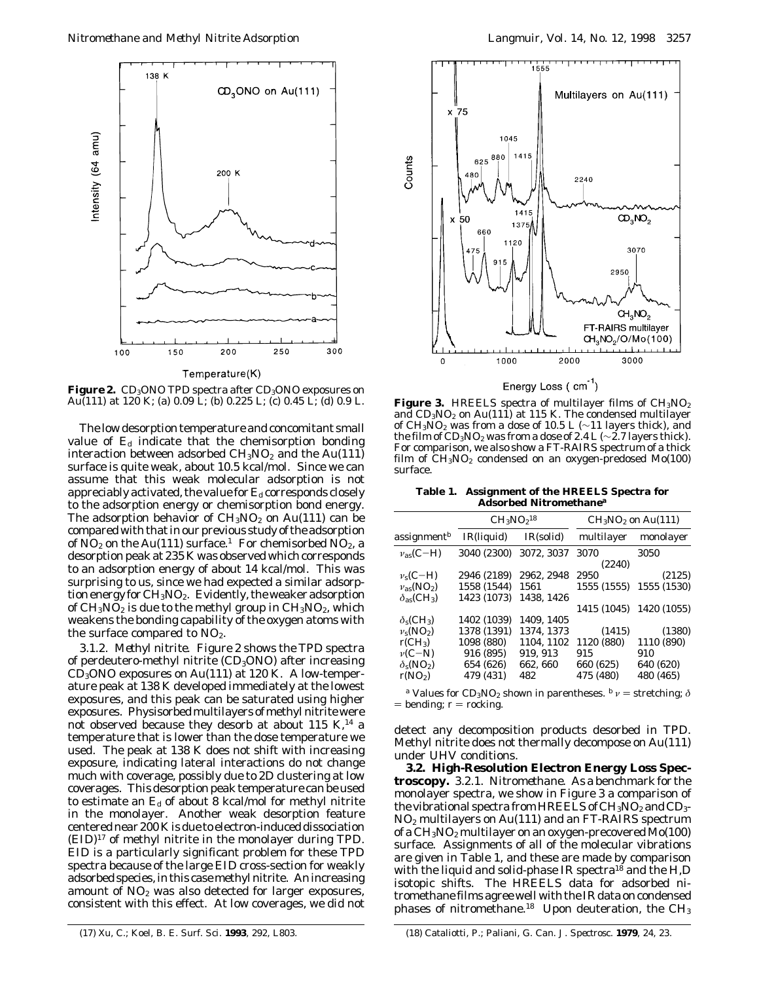

**Figure 2.** CD<sub>3</sub>ONO TPD spectra after CD<sub>3</sub>ONO exposures on Au(111) at 120 K; (a) 0.9 L; (b) 0.225 L; (c) 0.45 L; (d) 0.9 L.

The low desorption temperature and concomitant small value of *E*<sup>d</sup> indicate that the chemisorption bonding interaction between adsorbed  $CH<sub>3</sub>NO<sub>2</sub>$  and the Au(111) surface is quite weak, about 10.5 kcal/mol. Since we can assume that this weak molecular adsorption is not appreciably activated, the value for  $E<sub>d</sub>$  corresponds closely to the adsorption energy or chemisorption bond energy. The adsorption behavior of  $CH<sub>3</sub>NO<sub>2</sub>$  on Au(111) can be compared with that in our previous study of the adsorption of  $NO<sub>2</sub>$  on the Au(111) surface.<sup>1</sup> For chemisorbed  $NO<sub>2</sub>$ , a desorption peak at 235 K was observed which corresponds to an adsorption energy of about 14 kcal/mol. This was surprising to us, since we had expected a similar adsorption energy for  $CH<sub>3</sub>NO<sub>2</sub>$ . Evidently, the weaker adsorption of  $CH_3NO_2$  is due to the methyl group in  $CH_3NO_2$ , which weakens the bonding capability of the oxygen atoms with the surface compared to  $NO<sub>2</sub>$ .

*3.1.2. Methyl nitrite.* Figure 2 shows the TPD spectra of perdeutero-methyl nitrite  $(CD_3ONO)$  after increasing CD3ONO exposures on Au(111) at 120 K. A low-temperature peak at 138 K developed immediately at the lowest exposures, and this peak can be saturated using higher exposures. Physisorbed multilayers of methyl nitrite were not observed because they desorb at about 115 K, $^{14}$  a temperature that is lower than the dose temperature we used. The peak at 138 K does not shift with increasing exposure, indicating lateral interactions do not change much with coverage, possibly due to 2D clustering at low coverages. This desorption peak temperature can be used to estimate an  $E_d$  of about 8 kcal/mol for methyl nitrite in the monolayer. Another weak desorption feature centered near 200 K is due to electron-induced dissociation (EID)17 of methyl nitrite in the monolayer during TPD. EID is a particularly significant problem for these TPD spectra because of the large EID cross-section for weakly adsorbed species, in this casemethyl nitrite. An increasing amount of  $NO<sub>2</sub>$  was also detected for larger exposures, consistent with this effect. At low coverages, we did not



Energy Loss (cm<sup>-1</sup>)

Figure 3. HREELS spectra of multilayer films of CH<sub>3</sub>NO<sub>2</sub> and  $CD_3NO_2$  on Au(111) at 115 K. The condensed multilayer of CH<sub>3</sub>NO<sub>2</sub> was from a dose of 10.5 L ( $\sim$ 11 layers thick), and the film of  $CD_3NO_2$  was from a dose of 2.4 L (∼2.7 layers thick). For comparison, we also show a FT-RAIRS spectrum of a thick film of  $CH_3NO_2$  condensed on an oxygen-predosed Mo(100) surface.

**Table 1. Assignment of the HREELS Spectra for Adsorbed Nitromethane***<sup>a</sup>*

|                                          | $CH_3NO218$ |            | $CH3NO2$ on Au(111) |             |  |
|------------------------------------------|-------------|------------|---------------------|-------------|--|
| assignment $^b$                          | IR(liquid)  | IR(solid)  | multilayer          | monolayer   |  |
| $v_{\rm as}(C-H)$                        | 3040 (2300) | 3072, 3037 | 3070                | 3050        |  |
|                                          |             |            | (2240)              |             |  |
| $v_s(C-H)$                               | 2946 (2189) | 2962, 2948 | 2950                | (2125)      |  |
| $v_{as}(\text{NO}_2)$                    | 1558 (1544) | 1561       | 1555 (1555)         | 1555 (1530) |  |
| $\delta_{\rm as}$ (CH <sub>3</sub> )     | 1423 (1073) | 1438.1426  |                     |             |  |
|                                          |             |            | 1415 (1045)         | 1420 (1055) |  |
| $\delta$ <sub>s</sub> (CH <sub>3</sub> ) | 1402 (1039) | 1409.1405  |                     |             |  |
| $v_s(NO_2)$                              | 1378 (1391) | 1374.1373  | (1415)              | (1380)      |  |
| $r(CH_3)$                                | 1098 (880)  | 1104.1102  | 1120 (880)          | 1110 (890)  |  |
| $\nu(C-N)$                               | 916 (895)   | 919, 913   | 915                 | 910         |  |
| $\delta_{\rm s}({\rm NO}_2)$             | 654 (626)   | 662.660    | 660 (625)           | 640 (620)   |  |
| r(NO <sub>2</sub> )                      | 479 (431)   | 482        | 475 (480)           | 480 (465)   |  |

*a* Values for CD<sub>3</sub>NO<sub>2</sub> shown in parentheses.  $\frac{b}{v}$  *v* = stretching;  $\delta$  $=$  bending;  $r =$  rocking.

detect any decomposition products desorbed in TPD. Methyl nitrite does not thermally decompose on Au(111) under UHV conditions.

**3.2. High-Resolution Electron Energy Loss Spectroscopy.** *3.2.1. Nitromethane.* As a benchmark for the monolayer spectra, we show in Figure 3 a comparison of the vibrational spectra from HREELS of  $CH_3NO_2$  and  $CD_3$ -NO2 multilayers on Au(111) and an FT-RAIRS spectrum of a CH<sub>3</sub>NO<sub>2</sub> multilayer on an oxygen-precovered Mo(100) surface. Assignments of all of the molecular vibrations are given in Table 1, and these are made by comparison with the liquid and solid-phase IR spectra<sup>18</sup> and the H,D isotopic shifts. The HREELS data for adsorbed nitromethane films agree well with the IR data on condensed phases of nitromethane.<sup>18</sup> Upon deuteration, the  $CH<sub>3</sub>$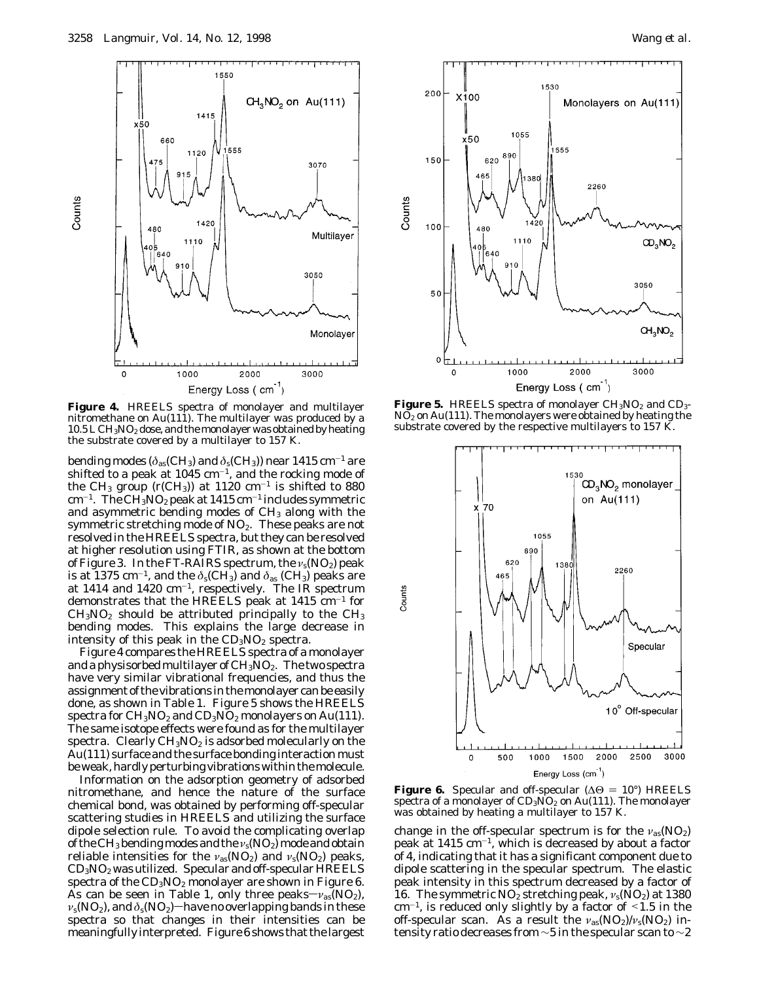

**Figure 4.** HREELS spectra of monolayer and multilayer nitromethane on Au(111). The multilayer was produced by a  $10.5$  L  $\rm CH_3NO_2$  dose, and the monolayer was obtained by heating the substrate covered by a multilayer to 157 K.

bending modes ( $\delta_{as}$ (CH<sub>3</sub>) and  $\delta_{s}$ (CH<sub>3</sub>)) near 1415 cm<sup>-1</sup> are shifted to a peak at 1045  $cm^{-1}$ , and the rocking mode of the CH<sub>3</sub> group (r(CH<sub>3</sub>)) at 1120 cm<sup>-1</sup> is shifted to 880  $cm^{-1}$ . The CH<sub>3</sub>NO<sub>2</sub> peak at 1415 cm<sup>-1</sup> includes symmetric and asymmetric bending modes of CH<sub>3</sub> along with the symmetric stretching mode of  $NO<sub>2</sub>$ . These peaks are not resolved in the HREELS spectra, but they can be resolved at higher resolution using FTIR, as shown at the bottom of Figure 3. In the FT-RAIRS spectrum, the *ν*s(NO2) peak is at 1375 cm<sup>-1</sup>, and the  $\delta_s$ (CH<sub>3</sub>) and  $\delta_{as}$  (CH<sub>3</sub>) peaks are at 1414 and 1420  $cm^{-1}$ , respectively. The IR spectrum demonstrates that the HREELS peak at  $1415 \text{ cm}^{-1}$  for  $CH<sub>3</sub>NO<sub>2</sub>$  should be attributed principally to the  $CH<sub>3</sub>$ bending modes. This explains the large decrease in intensity of this peak in the  $CD<sub>3</sub>NO<sub>2</sub>$  spectra.

Figure 4 compares the HREELS spectra of a monolayer and a physisorbed multilayer of  $CH<sub>3</sub>NO<sub>2</sub>$ . The two spectra have very similar vibrational frequencies, and thus the assignment of the vibrations in themonolayer can be easily done, as shown in Table 1. Figure 5 shows the HREELS spectra for  $CH_3NO_2$  and  $CD_3NO_2$  monolayers on Au(111). The same isotope effects were found as for the multilayer spectra. Clearly  $CH<sub>3</sub>NO<sub>2</sub>$  is adsorbed molecularly on the Au(111) surface and the surface bonding interaction must be weak, hardly perturbing vibrations within themolecule.

Information on the adsorption geometry of adsorbed nitromethane, and hence the nature of the surface chemical bond, was obtained by performing off-specular scattering studies in HREELS and utilizing the surface dipole selection rule. To avoid the complicating overlap of the CH<sub>3</sub> bending modes and the *ν*<sub>s</sub>(NO<sub>2</sub>) mode and obtain reliable intensities for the *ν*<sub>as</sub>(NO<sub>2</sub>) and *ν*<sub>s</sub>(NO<sub>2</sub>) peaks,  $CD_3NO_2$  was utilized. Specular and off-specular HREELS spectra of the  $CD_3NO_2$  monolayer are shown in Figure 6. As can be seen in Table 1, only three peaks $-v_{as}(NO_2)$ ,  $v_s(NO_2)$ , and  $\delta_s(NO_2)$  have no overlapping bands in these spectra so that changes in their intensities can be meaningfully interpreted. Figure 6 shows that the largest



**Figure 5.** HREELS spectra of monolayer CH<sub>3</sub>NO<sub>2</sub> and CD<sub>3</sub>- $N\overline{O}_2$  on Au(111). The monolayers were obtained by heating the substrate covered by the respective multilayers to 157 K.



**Figure 6.** Specular and off-specular ( $\Delta\Theta = 10^{\circ}$ ) HREELS spectra of a monolayer of  $CD_3\text{NO}_2$  on Au(111). The monolayer was obtained by heating a multilayer to 157 K.

change in the off-specular spectrum is for the *ν*<sub>as</sub>(NO<sub>2</sub>) peak at  $1415 \text{ cm}^{-1}$ , which is decreased by about a factor of 4, indicating that it has a significant component due to dipole scattering in the specular spectrum. The elastic peak intensity in this spectrum decreased by a factor of 16. The symmetric  $NO<sub>2</sub>$  stretching peak,  $v<sub>s</sub>(NO<sub>2</sub>)$  at 1380  $cm^{-1}$ , is reduced only slightly by a factor of  $\leq 1.5$  in the off-specular scan. As a result the *ν*as(NO2)/*ν*s(NO2) intensity ratio decreases from ∼5 in the specular scan to ∼2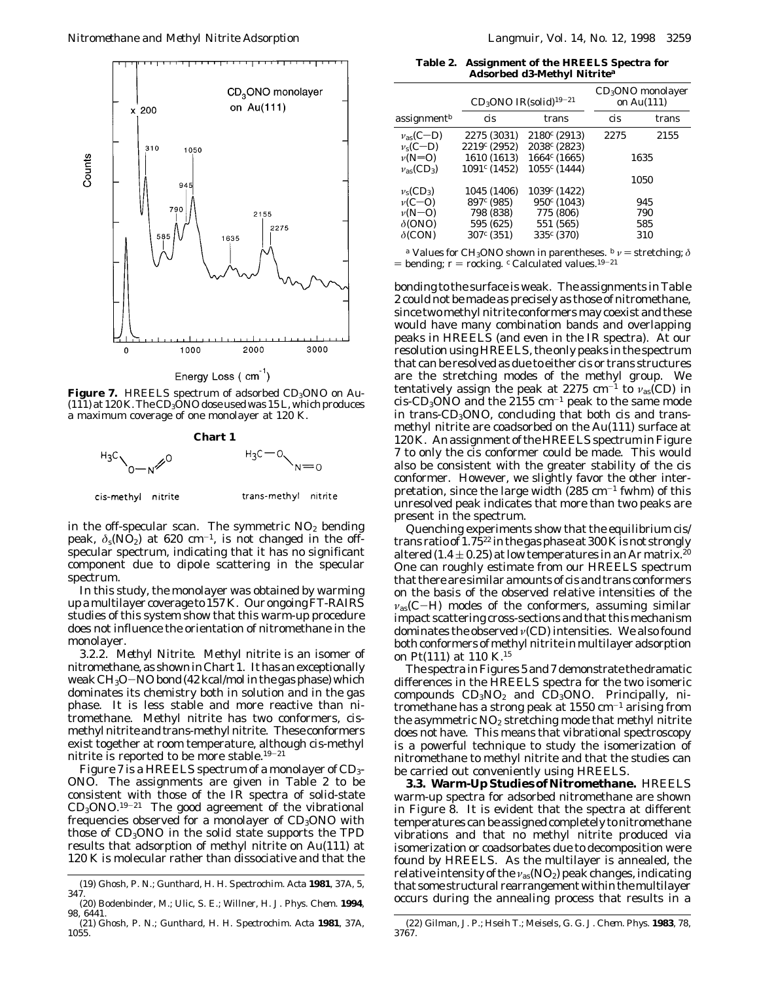

Energy Loss (cm<sup>-1</sup>)

**Figure 7.** HREELS spectrum of adsorbed CD<sub>3</sub>ONO on Au- $(111)$  at 120 K. The CD<sub>3</sub>ONO dose used was 15 L, which produces a maximum coverage of one monolayer at 120 K.



in the off-specular scan. The symmetric  $NO<sub>2</sub>$  bending peak,  $\delta_s(\text{NO}_2)$  at 620 cm<sup>-1</sup>, is not changed in the offspecular spectrum, indicating that it has no significant component due to dipole scattering in the specular spectrum.

In this study, the monolayer was obtained by warming up amultilayer coverage to 157 K. Our ongoing FT-RAIRS studies of this system show that this warm-up procedure does not influence the orientation of nitromethane in the monolayer.

*3.2.2. Methyl Nitrite.* Methyl nitrite is an isomer of nitromethane, as shown in Chart 1. It has an exceptionally weak  $CH<sub>3</sub>O-NO$  bond (42 kcal/mol in the gas phase) which dominates its chemistry both in solution and in the gas phase. It is less stable and more reactive than nitromethane. Methyl nitrite has two conformers, *cis*methyl nitrite and *trans*-methyl nitrite. These conformers exist together at room temperature, although *cis*-methyl nitrite is reported to be more stable.19-<sup>21</sup>

Figure 7 is a HREELS spectrum of a monolayer of CD<sub>3</sub>-ONO. The assignments are given in Table 2 to be consistent with those of the IR spectra of solid-state  $CD<sub>3</sub>ONO<sup>19-21</sup>$  The good agreement of the vibrational frequencies observed for a monolayer of  $CD<sub>3</sub>ONO$  with those of  $CD_3ONO$  in the solid state supports the TPD results that adsorption of methyl nitrite on Au(111) at 120 K is molecular rather than dissociative and that the

**Table 2. Assignment of the HREELS Spectra for Adsorbed d3-Methyl Nitrite***<sup>a</sup>*

|                                 | $CD_3$ ONO IR(solid) <sup>19-21</sup> |                 | $CD3ONO$ monolayer<br>on Au(111) |       |
|---------------------------------|---------------------------------------|-----------------|----------------------------------|-------|
| assignment $^{\mathit{b}}$      | cis                                   | trans           | cis                              | trans |
| $v_{\rm as}(C-D)$               | 2275 (3031)                           | $2180^c (2913)$ | 2275                             | 2155  |
| $v_s(C-D)$                      | $2219c$ (2952)                        | $2038c$ (2823)  |                                  |       |
| $\nu(N=0)$                      | 1610 (1613)                           | $1664^c (1665)$ | 1635                             |       |
| $v_{\rm as}$ (CD <sub>3</sub> ) | $1091c$ (1452)                        | $1055c$ (1444)  |                                  |       |
|                                 |                                       |                 |                                  | 1050  |
| $v_s (CD_3)$                    | 1045 (1406)                           | $1039c$ (1422)  |                                  |       |
| $\nu(C=O)$                      | $897c$ (985)                          | $950^c (1043)$  |                                  | 945   |
| $\nu(N=O)$                      | 798 (838)                             | 775 (806)       |                                  | 790   |
| $\delta$ (ONO)                  | 595 (625)                             | 551 (565)       |                                  | 585   |
| $\delta$ (CON)                  | 307 <sup>c</sup> (351)                | $335^{c} (370)$ |                                  | 310   |
|                                 |                                       |                 |                                  |       |

*a* Values for CH<sub>3</sub>ONO shown in parentheses.  $b$   $\nu$  = stretching;  $\delta$ = bending;  $r$  = rocking. <sup>*c*</sup> Calculated values.<sup>19-21</sup>

bonding to the surface is weak. The assignments in Table 2 could not be made as precisely as those of nitromethane, since two methyl nitrite conformers may coexist and these would have many combination bands and overlapping peaks in HREELS (and even in the IR spectra). At our resolution using HREELS, the only peaks in the spectrum that can be resolved as due to either cis or trans structures are the stretching modes of the methyl group. We tentatively assign the peak at 2275 cm<sup>-1</sup> to  $v_{as}$ (CD) in  $cis$ -CD<sub>3</sub>ONO and the 2155 cm<sup>-1</sup> peak to the same mode in *trans*-CD3ONO, concluding that both *cis* and *trans*methyl nitrite are coadsorbed on the Au(111) surface at 120 K. An assignment of the HREELS spectrum in Figure 7 to only the cis conformer could be made. This would also be consistent with the greater stability of the cis conformer. However, we slightly favor the other interpretation, since the large width  $(285 \text{ cm}^{-1} \text{ fwhm})$  of this unresolved peak indicates that more than two peaks are present in the spectrum.

Quenching experiments show that the equilibrium cis/ trans ratio of  $1.75^{22}$  in the gas phase at 300 K is not strongly altered (1.4  $\pm$  0.25) at low temperatures in an Ar matrix.<sup>20</sup> One can roughly estimate from our HREELS spectrum that there are similar amounts of cis and trans conformers on the basis of the observed relative intensities of the  $v_{\text{as}}(C-H)$  modes of the conformers, assuming similar impact scattering cross-sections and that this mechanism dominates the observed *ν*(CD) intensities. We also found both conformers of methyl nitrite in multilayer adsorption on Pt(111) at 110 K.15

The spectra in Figures 5 and 7 demonstrate the dramatic differences in the HREELS spectra for the two isomeric compounds  $CD_3NO_2$  and  $CD_3ONO$ . Principally, nitromethane has a strong peak at  $1550 \text{ cm}^{-1}$  arising from the asymmetric  $NO<sub>2</sub>$  stretching mode that methyl nitrite does not have. This means that vibrational spectroscopy is a powerful technique to study the isomerization of nitromethane to methyl nitrite and that the studies can be carried out conveniently using HREELS.

**3.3. Warm-Up Studies of Nitromethane.** HREELS warm-up spectra for adsorbed nitromethane are shown in Figure 8. It is evident that the spectra at different temperatures can be assigned completely to nitromethane vibrations and that no methyl nitrite produced via isomerization or coadsorbates due to decomposition were found by HREELS. As the multilayer is annealed, the relative intensity of the *ν*<sub>as</sub>(NO<sub>2</sub>) peak changes, indicating that some structural rearrangement within the multilayer occurs during the annealing process that results in a

<sup>(19)</sup> Ghosh, P. N.; Gunthard, H. H. *Spectrochim. Acta* **1981**, *37A*, 5, 347.

<sup>(20)</sup> Bodenbinder, M.; Ulic, S. E.; Willner, H. *J. Phys. Chem.* **1994**, *98*, 6441.

<sup>(21)</sup> Ghosh, P. N.; Gunthard, H. H. *Spectrochim. Acta* **1981**, *37A*, 1055.

<sup>(22)</sup> Gilman, J. P.; Hseih T.; Meisels, G. G. *J. Chem. Phys.* **1983**, *78*, 3767.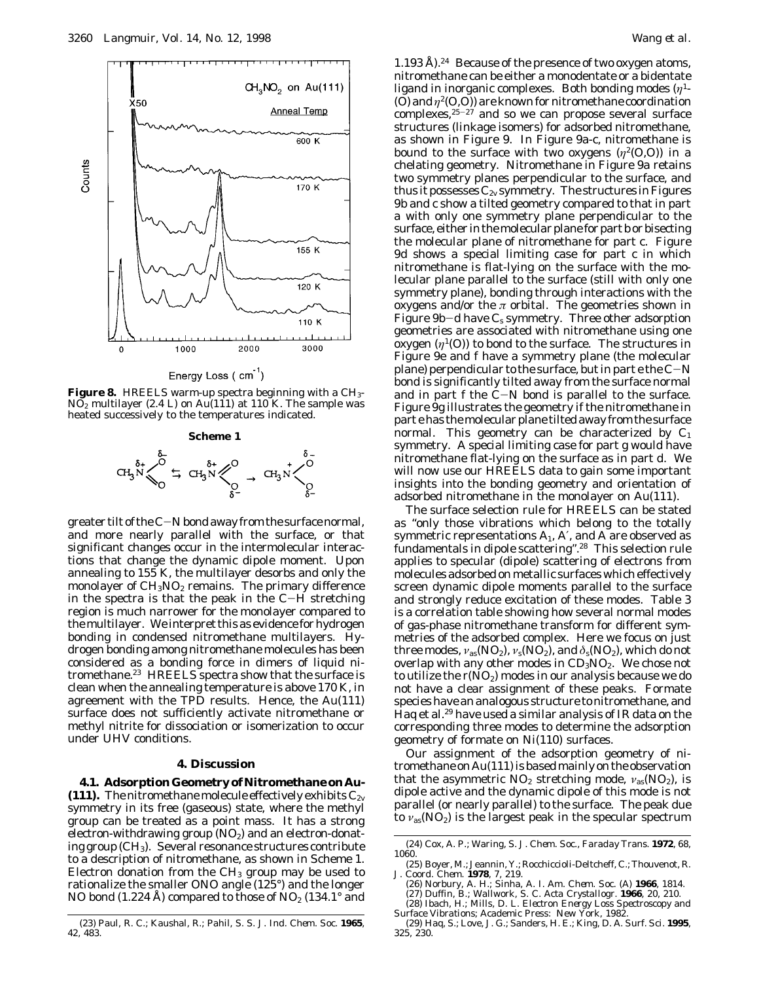

Energy Loss (cm<sup>-1</sup>)

**Figure 8.** HREELS warm-up spectra beginning with a CH3- NO2 multilayer (2.4 L) on Au(111) at 110 K. The sample was heated successively to the temperatures indicated.



greater tilt of the C-N bond away from the surface normal, and more nearly parallel with the surface, or that significant changes occur in the intermolecular interactions that change the dynamic dipole moment. Upon annealing to 155 K, the multilayer desorbs and only the monolayer of  $CH<sub>3</sub>NO<sub>2</sub>$  remains. The primary difference in the spectra is that the peak in the C-H stretching region is much narrower for the monolayer compared to the multilayer. We interpret this as evidence for hydrogen bonding in condensed nitromethane multilayers. Hydrogen bonding among nitromethane molecules has been considered as a bonding force in dimers of liquid nitromethane.23 HREELS spectra show that the surface is clean when the annealing temperature is above 170 K, in agreement with the TPD results. Hence, the Au(111) surface does not sufficiently activate nitromethane or methyl nitrite for dissociation or isomerization to occur under UHV conditions.

# **4. Discussion**

**4.1. Adsorption Geometry of Nitromethane on Au- (111).** The nitromethane molecule effectively exhibits  $C_{2v}$ symmetry in its free (gaseous) state, where the methyl group can be treated as a point mass. It has a strong electron-withdrawing group  $(NO_2)$  and an electron-donating group  $(CH_3)$ . Several resonance structures contribute to a description of nitromethane, as shown in Scheme 1. Electron donation from the  $CH<sub>3</sub>$  group may be used to rationalize the smaller ONO angle (125°) and the longer NO bond (1.224 Å) compared to those of  $NO<sub>2</sub>$  (134.1° and

1.193 Å).<sup>24</sup> Because of the presence of two oxygen atoms, nitromethane can be either a monodentate or a bidentate ligand in inorganic complexes. Both bonding modes (*η*1-  $(0)$  and  $\eta^2(0,0)$ ) are known for nitromethane coordination complexes, $25-27$  and so we can propose several surface structures (linkage isomers) for adsorbed nitromethane, as shown in Figure 9. In Figure 9a-c, nitromethane is bound to the surface with two oxygens  $(\eta^2(0,0))$  in a chelating geometry. Nitromethane in Figure 9a retains two symmetry planes perpendicular to the surface, and thus it possesses  $C_{2v}$  symmetry. The structures in Figures 9b and c show a tilted geometry compared to that in part a with only one symmetry plane perpendicular to the surface, either in themolecular plane for part b or bisecting the molecular plane of nitromethane for part c. Figure 9d shows a special limiting case for part c in which nitromethane is flat-lying on the surface with the molecular plane parallel to the surface (still with only one symmetry plane), bonding through interactions with the oxygens and/or the  $\pi$  orbital. The geometries shown in Figure 9b-d have *Cs* symmetry. Three other adsorption geometries are associated with nitromethane using one oxygen  $(\eta^1(0))$  to bond to the surface. The structures in Figure 9e and f have a symmetry plane (the molecular plane) perpendicular to the surface, but in part  $e$  the  $C-N$ bond is significantly tilted away from the surface normal and in part f the  $C-N$  bond is parallel to the surface. Figure 9g illustrates the geometry if the nitromethane in part e has the molecular plane tilted away from the surface normal. This geometry can be characterized by *C*<sup>1</sup> symmetry. A special limiting case for part g would have nitromethane flat-lying on the surface as in part d. We will now use our HREELS data to gain some important insights into the bonding geometry and orientation of adsorbed nitromethane in the monolayer on Au(111).

The surface selection rule for HREELS can be stated as "only those vibrations which belong to the totally symmetric representations  $\mathrm{A}_1$ ,  $\mathrm{A}^\prime$ , and  $\mathrm{A}$  are observed as fundamentals in dipole scattering".<sup>28</sup> This selection rule applies to specular (dipole) scattering of electrons from molecules adsorbed on metallic surfaces which effectively screen dynamic dipole moments parallel to the surface and strongly reduce excitation of these modes. Table 3 is a correlation table showing how several normal modes of gas-phase nitromethane transform for different symmetries of the adsorbed complex. Here we focus on just three modes,  $v_{as}(\text{NO}_2)$ ,  $v_s(\text{NO}_2)$ , and  $\delta_s(\text{NO}_2)$ , which do not overlap with any other modes in  $CD_3NO_2$ . We chose not to utilize the  $r(NO_2)$  modes in our analysis because we do not have a clear assignment of these peaks. Formate species have an analogous structure to nitromethane, and Haq et al.<sup>29</sup> have used a similar analysis of IR data on the corresponding three modes to determine the adsorption geometry of formate on Ni(110) surfaces.

Our assignment of the adsorption geometry of nitromethane on Au(111) is based mainly on the observation that the asymmetric  $NO_2$  stretching mode,  $v_{as} (NO_2)$ , is dipole active and the dynamic dipole of this mode is not parallel (or nearly parallel) to the surface. The peak due to  $v_{\text{as}}(NO_2)$  is the largest peak in the specular spectrum

<sup>(23)</sup> Paul, R. C.; Kaushal, R.; Pahil, S. S. *J. Ind. Chem. Soc.* **1965**, *42*, 483.

<sup>(24)</sup> Cox, A. P.; Waring, S. *J. Chem. Soc., Faraday Trans.* **1972**, *68*, 1060.

<sup>(25)</sup> Boyer, M.; Jeannin, Y.; Rocchiccioli-Deltcheff, C.; Thouvenot, R. *J. Coord. Chem.* **1978**, *7*, 219. (26) Norbury, A. H.; Sinha, A. I. *Am. Chem. Soc. (A)* **1966**, 1814.

<sup>(27)</sup> Duffin, B.; Wallwork, S. C. *Acta Crystallogr.* **1966**, *20*, 210. (28) Ibach, H.; Mills, D. L. *Electron Energy Loss Spectroscopy and Surface Vibrations*; Academic Press: New York, 1982.

<sup>(29)</sup> Haq, S.; Love, J. G.; Sanders, H. E.; King, D. A. *Surf. Sci.* **1995**, *325*, 230.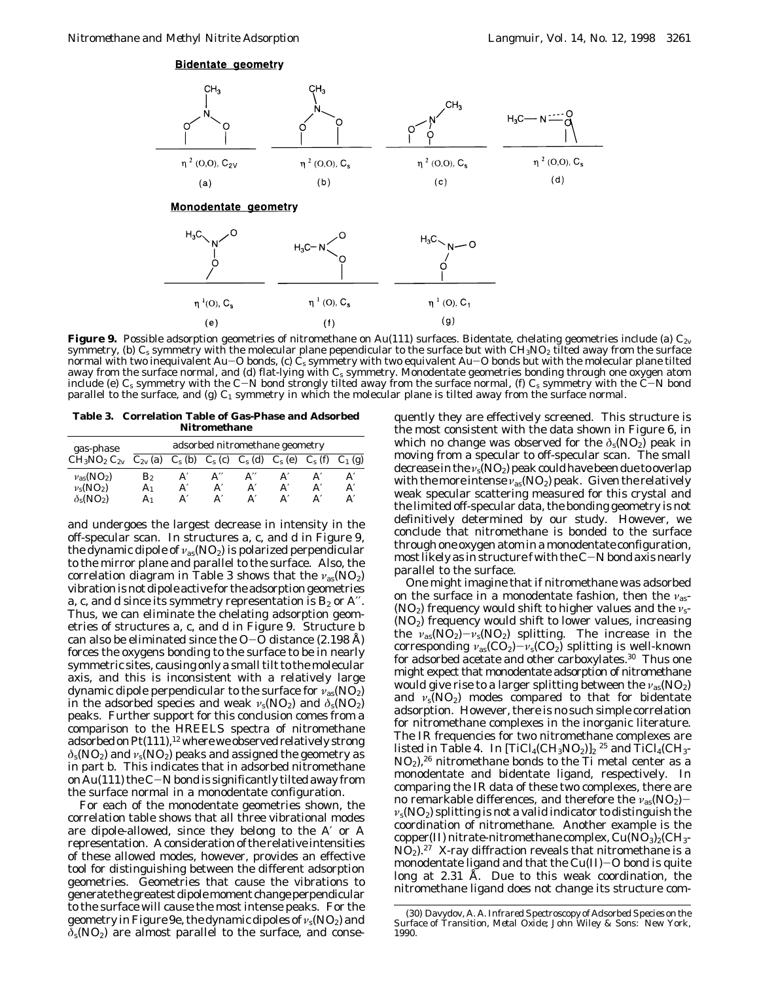

**Figure 9.** Possible adsorption geometries of nitromethane on Au(111) surfaces. Bidentate, chelating geometries include (a) *C*2*<sup>v</sup>* symmetry, (b) *C<sub>s</sub>* symmetry with the molecular plane pependicular to the surface but with CH<sub>3</sub>NO<sub>2</sub> tilted away from the surface normal with two inequivalent Au-O bonds, (c) *Cs* symmetry with two equivalent Au-O bonds but with the molecular plane tilted away from the surface normal, and (d) flat-lying with *Cs* symmetry. Monodentate geometries bonding through one oxygen atom include (e) *Cs* symmetry with the C-N bond strongly tilted away from the surface normal, (f) *Cs* symmetry with the C-N bond parallel to the surface, and (g)  $C_1$  symmetry in which the molecular plane is tilted away from the surface normal.

**Table 3. Correlation Table of Gas-Phase and Adsorbed Nitromethane**

| gas-phase                 | adsorbed nitromethane geometry |                 |                    |                                 |    |                 |           |
|---------------------------|--------------------------------|-----------------|--------------------|---------------------------------|----|-----------------|-----------|
| $CH3NO2 C2v$              | $C_{2v}$ (a)                   | $C_{\rm s}$ (b) | $C_{\rm s}$ (c)    | $C_{\rm s}$ (d) $C_{\rm s}$ (e) |    | $C_{\rm s}$ (f) | $C_1$ (g) |
| $v_{\rm as}(\rm NO_2)$    | В2                             | Aʻ              | $A^{\prime\prime}$ |                                 |    |                 | A′        |
| $v_s(NO_2)$               | A1                             | A'              | A'                 | Aʻ                              | A′ |                 | A         |
| $\delta_{s}(\text{NO}_2)$ | A1                             | A'              |                    |                                 |    |                 | A'        |

and undergoes the largest decrease in intensity in the off-specular scan. In structures a, c, and d in Figure 9, the dynamic dipole of  $v_{\rm as}(\rm NO_2)$  is polarized perpendicular to the mirror plane and parallel to the surface. Also, the correlation diagram in Table 3 shows that the *ν*<sub>as</sub>(NO<sub>2</sub>) vibration is not dipole active for the adsorption geometries a, c, and d since its symmetry representation is  $B_2$  or A''. Thus, we can eliminate the chelating adsorption geometries of structures a, c, and d in Figure 9. Structure b can also be eliminated since the  $O-O$  distance (2.198 Å) forces the oxygens bonding to the surface to be in nearly symmetric sites, causing only a small tilt to the molecular axis, and this is inconsistent with a relatively large dynamic dipole perpendicular to the surface for *ν*as(NO2) in the adsorbed species and weak  $v_s(NO_2)$  and  $\delta_s(NO_2)$ peaks. Further support for this conclusion comes from a comparison to the HREELS spectra of nitromethane adsorbed on Pt(111),<sup>12</sup> where we observed relatively strong  $\delta$ <sub>s</sub>(NO<sub>2</sub>) and  $v_s$ (NO<sub>2</sub>) peaks and assigned the geometry as in part b. This indicates that in adsorbed nitromethane on Au(111) the  $C-N$  bond is significantly tilted away from the surface normal in a monodentate configuration.

For each of the monodentate geometries shown, the correlation table shows that all three vibrational modes are dipole-allowed, since they belong to the A′ or A representation. A consideration of the relative intensities of these allowed modes, however, provides an effective tool for distinguishing between the different adsorption geometries. Geometries that cause the vibrations to generate the greatest dipolemoment change perpendicular to the surface will cause the most intense peaks. For the geometry in Figure 9e, the dynamic dipoles of  $v_s(NO_2)$  and  $\delta$ <sub>s</sub>(NO<sub>2</sub>) are almost parallel to the surface, and conse-

quently they are effectively screened. This structure is the most consistent with the data shown in Figure 6, in which no change was observed for the  $\delta_s(NO_2)$  peak in moving from a specular to off-specular scan. The small decrease in the *ν*<sub>s</sub>(NO<sub>2</sub>) peak could have been due to overlap with the more intense  $v_{as}(\text{NO}_2)$  peak. Given the relatively weak specular scattering measured for this crystal and the limited off-specular data, the bonding geometry is not definitively determined by our study. However, we conclude that nitromethane is bonded to the surface through one oxygen atom in a monodentate configuration, most likely as in structure f with the C-N bond axis nearly parallel to the surface.

One might imagine that if nitromethane was adsorbed on the surface in a monodentate fashion, then the *ν*as- (NO<sub>2</sub>) frequency would shift to higher values and the *ν*<sub>s</sub>-(NO2) frequency would shift to lower values, increasing the  $\nu_{as}(\overline{NO_2})-\nu_s(\overline{NO_2})$  splitting. The increase in the corresponding  $v_{as}(CO_2)-v_s(CO_2)$  splitting is well-known for adsorbed acetate and other carboxylates.30 Thus one might expect that monodentate adsorption of nitromethane would give rise to a larger splitting between the *ν*as(NO2) and  $v_s(NO_2)$  modes compared to that for bidentate adsorption. However, there is no such simple correlation for nitromethane complexes in the inorganic literature. The IR frequencies for two nitromethane complexes are listed in Table 4. In  $[TiCl_4(CH_3NO_2)]_2$ <sup>25</sup> and  $TiCl_4(CH_3 NO<sub>2</sub>$ ,<sup>26</sup> nitromethane bonds to the Ti metal center as a monodentate and bidentate ligand, respectively. In comparing the IR data of these two complexes, there are no remarkable differences, and therefore the *ν*<sub>as</sub>(NO<sub>2</sub>) $v_s(NO_2)$  splitting is not a valid indicator to distinguish the coordination of nitromethane. Another example is the copper(II) nitrate-nitromethane complex,  $Cu(NO<sub>3</sub>)<sub>2</sub>(CH<sub>3</sub> NO<sub>2</sub>$ ).<sup>27</sup> X-ray diffraction reveals that nitromethane is a monodentate ligand and that the  $Cu(II)-O$  bond is quite long at  $2.31$   $\tilde{A}$ . Due to this weak coordination, the nitromethane ligand does not change its structure com-

<sup>(30)</sup> Davydov, A. A. *Infrared Spectroscopy of Adsorbed Species on the Surface of Transition, Metal Oxide*; John Wiley & Sons: New York, 1990.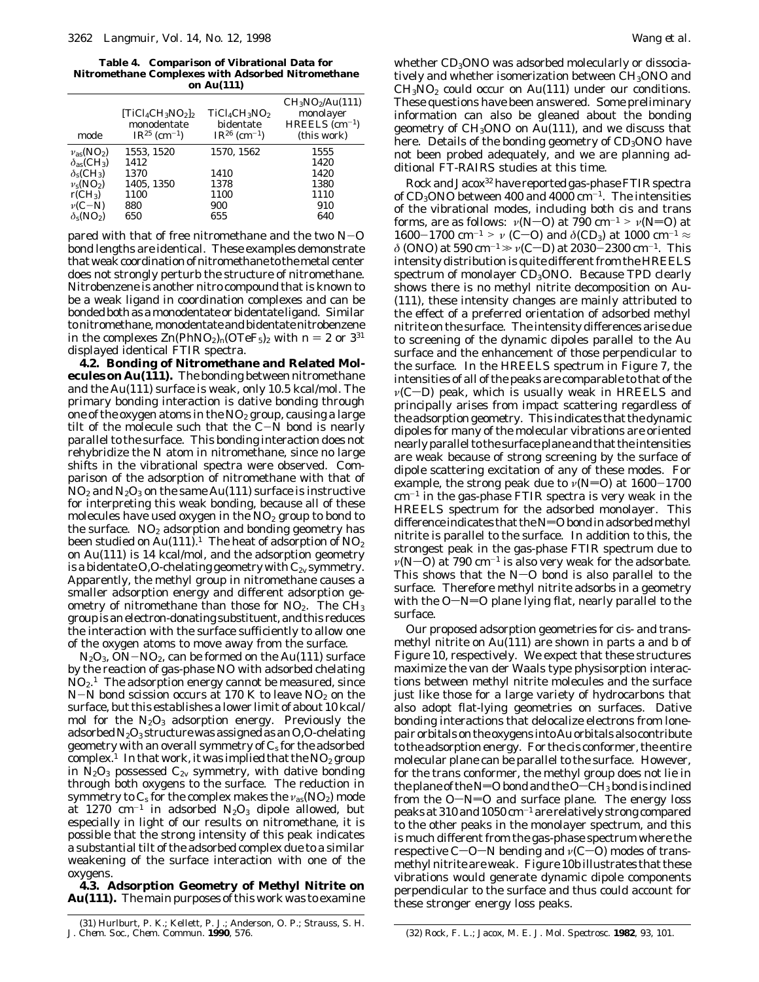**Table 4. Comparison of Vibrational Data for Nitromethane Complexes with Adsorbed Nitromethane on Au(111)**

| mode                                     | $[TiCl_4CH_3NO_2]_2$<br>monodentate<br>$IR^{25}$ (cm <sup>-1</sup> ) | $TiCl4CH3NO2$<br>bidentate<br>$IR^{26}$ (cm <sup>-1</sup> ) | CH <sub>3</sub> NO <sub>2</sub> /Au(111)<br>monolayer<br>$HREELS$ (cm <sup>-1</sup> )<br>(this work) |
|------------------------------------------|----------------------------------------------------------------------|-------------------------------------------------------------|------------------------------------------------------------------------------------------------------|
| $v_{\rm as}(\rm NO_2)$                   | 1553, 1520                                                           | 1570, 1562                                                  | 1555                                                                                                 |
| $\delta_{\rm as}$ (CH <sub>3</sub> )     | 1412                                                                 |                                                             | 1420                                                                                                 |
| $\delta$ <sub>s</sub> (CH <sub>3</sub> ) | 1370                                                                 | 1410                                                        | 1420                                                                                                 |
| $v_s(NO_2)$                              | 1405, 1350                                                           | 1378                                                        | 1380                                                                                                 |
| $rCH_3$                                  | 1100                                                                 | 1100                                                        | 1110                                                                                                 |
| $\nu(C-N)$                               | 880                                                                  | 900                                                         | 910                                                                                                  |
| $\delta_s(NO_2)$                         | 650                                                                  | 655                                                         | 640                                                                                                  |

pared with that of free nitromethane and the two  $N-O$ bond lengths are identical. These examples demonstrate that weak coordination of nitromethane to themetal center does not strongly perturb the structure of nitromethane. Nitrobenzene is another nitro compound that is known to be a weak ligand in coordination complexes and can be bonded both as amonodentate or bidentate ligand. Similar to nitromethane, monodentate and bidentate nitrobenzene in the complexes  $\text{Zn}(\text{PhNO}_2)_n(\text{OTeF}_5)_2$  with  $n = 2$  or  $3^{31}$ displayed identical FTIR spectra.

**4.2. Bonding of Nitromethane and Related Molecules on Au(111).** The bonding between nitromethane and the Au(111) surface is weak, only 10.5 kcal/mol. The primary bonding interaction is dative bonding through one of the oxygen atoms in the  $NO<sub>2</sub>$  group, causing a large tilt of the molecule such that the  $C-N$  bond is nearly parallel to the surface. This bonding interaction does not rehybridize the N atom in nitromethane, since no large shifts in the vibrational spectra were observed. Comparison of the adsorption of nitromethane with that of  $NO<sub>2</sub>$  and  $N<sub>2</sub>O<sub>3</sub>$  on the same Au(111) surface is instructive for interpreting this weak bonding, because all of these molecules have used oxygen in the  $NO<sub>2</sub>$  group to bond to the surface.  $NO<sub>2</sub>$  adsorption and bonding geometry has been studied on Au(111).<sup>1</sup> The heat of adsorption of  $NO<sub>2</sub>$ on Au(111) is 14 kcal/mol, and the adsorption geometry is a bidentate O,O-chelating geometry with  $C_{2v}$  symmetry. Apparently, the methyl group in nitromethane causes a smaller adsorption energy and different adsorption geometry of nitromethane than those for  $NO<sub>2</sub>$ . The  $CH<sub>3</sub>$ group is an electron-donating substituent, and this reduces the interaction with the surface sufficiently to allow one of the oxygen atoms to move away from the surface.

 $N_2O_3$ ,  $ON-NO_2$ , can be formed on the Au(111) surface by the reaction of gas-phase NO with adsorbed chelating  $NO<sub>2</sub>$ .<sup>1</sup> The adsorption energy cannot be measured, since  $N-N$  bond scission occurs at 170 K to leave  $NO<sub>2</sub>$  on the surface, but this establishes a lower limit of about 10 kcal/ mol for the  $N_2O_3$  adsorption energy. Previously the adsorbed  $N_2O_3$  structure was assigned as an O,O-chelating geometry with an overall symmetry of *Cs* for the adsorbed complex.<sup>1</sup> In that work, it was implied that the  $NO<sub>2</sub>$  group in  $N_2O_3$  possessed  $C_{2v}$  symmetry, with dative bonding through both oxygens to the surface. The reduction in symmetry to *C<sub>s</sub>* for the complex makes the *ν*<sub>as</sub>(NO<sub>2</sub>) mode at 1270  $cm^{-1}$  in adsorbed  $N_2O_3$  dipole allowed, but especially in light of our results on nitromethane, it is possible that the strong intensity of this peak indicates a substantial tilt of the adsorbed complex due to a similar weakening of the surface interaction with one of the oxygens.

**4.3. Adsorption Geometry of Methyl Nitrite on Au(111).** The main purposes of this work was to examine whether  $CD_3$ ONO was adsorbed molecularly or dissociatively and whether isomerization between CH<sub>3</sub>ONO and  $CH<sub>3</sub>NO<sub>2</sub>$  could occur on Au(111) under our conditions. These questions have been answered. Some preliminary information can also be gleaned about the bonding geometry of  $CH<sub>3</sub>ONO$  on  $Au(111)$ , and we discuss that here. Details of the bonding geometry of  $CD<sub>3</sub>ONO$  have not been probed adequately, and we are planning additional FT-RAIRS studies at this time.

Rock and Jacox32 have reported gas-phase FTIR spectra of  $CD_3$ ONO between 400 and 4000  $cm^{-1}$ . The intensities of the vibrational modes, including both cis and trans forms, are as follows:  $\nu(N-O)$  at 790 cm<sup>-1</sup> >  $\nu(N=O)$  at 1600-1700 cm<sup>-1</sup> > *ν* (C-O) and *δ*(CD<sub>3</sub>) at 1000 cm<sup>-1</sup>  $\approx$ *δ* (ONO) at 590 cm<sup>-1</sup>  $\gg$  *ν*(C−D) at 2030-2300 cm<sup>-1</sup>. This intensity distribution is quite different from the HREELS spectrum of monolayer  $CD<sub>3</sub>ONO$ . Because TPD clearly shows there is no methyl nitrite decomposition on Au- (111), these intensity changes are mainly attributed to the effect of a preferred orientation of adsorbed methyl nitrite on the surface. The intensity differences arise due to screening of the dynamic dipoles parallel to the Au surface and the enhancement of those perpendicular to the surface. In the HREELS spectrum in Figure 7, the intensities of all of the peaks are comparable to that of the  $\nu(C-D)$  peak, which is usually weak in HREELS and principally arises from impact scattering regardless of the adsorption geometry. This indicates that the dynamic dipoles for many of the molecular vibrations are oriented nearly parallel to the surface plane and that the intensities are weak because of strong screening by the surface of dipole scattering excitation of any of these modes. For example, the strong peak due to  $v(N=0)$  at  $1600-1700$  $cm^{-1}$  in the gas-phase FTIR spectra is very weak in the HREELS spectrum for the adsorbed monolayer. This difference indicates that the  $N=O$  bond in adsorbed methyl nitrite is parallel to the surface. In addition to this, the strongest peak in the gas-phase FTIR spectrum due to  $\nu(N=O)$  at 790 cm<sup>-1</sup> is also very weak for the adsorbate. This shows that the  $N=O$  bond is also parallel to the surface. Therefore methyl nitrite adsorbs in a geometry with the  $O-N=O$  plane lying flat, nearly parallel to the surface.

Our proposed adsorption geometries for *cis-* and *trans*methyl nitrite on Au(111) are shown in parts a and b of Figure 10, respectively. We expect that these structures maximize the van der Waals type physisorption interactions between methyl nitrite molecules and the surface just like those for a large variety of hydrocarbons that also adopt flat-lying geometries on surfaces. Dative bonding interactions that delocalize electrons from lonepair orbitals on the oxygens into Au orbitals also contribute to the adsorption energy. For the cis conformer, the entire molecular plane can be parallel to the surface. However, for the trans conformer, the methyl group does not lie in the plane of the N=O bond and the  $O-CH_3$  bond is inclined from the  $O-N=O$  and surface plane. The energy loss peaks at 310 and 1050 cm-<sup>1</sup> are relatively strong compared to the other peaks in the monolayer spectrum, and this is much different from the gas-phase spectrum where the respective C-O-N bending and *ν*(C-O) modes of *trans*methyl nitrite are weak. Figure 10b illustrates that these vibrations would generate dynamic dipole components perpendicular to the surface and thus could account for these stronger energy loss peaks.

*J. Chem. Soc., Chem. Commun.* **1990**, 576. (32) Rock, F. L.; Jacox, M. E. *J. Mol. Spectrosc.* **1982**, *93*, 101.

<sup>(31)</sup> Hurlburt, P. K.; Kellett, P. J.; Anderson, O. P.; Strauss, S. H.<br>J. Chem. Soc., Chem. Commun. 1990, 576.